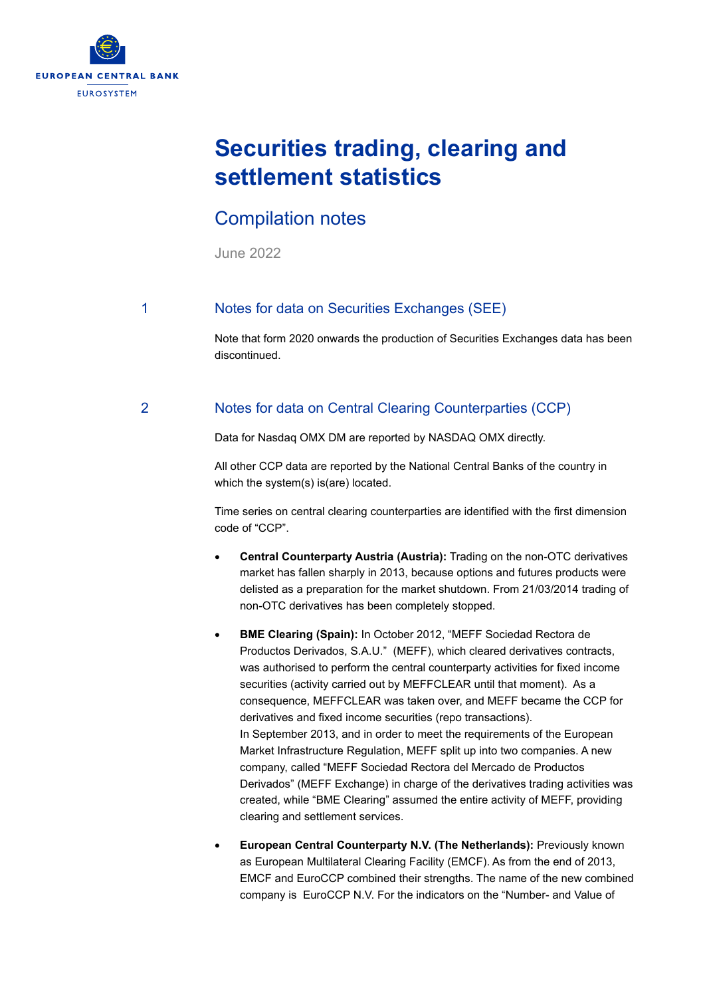

# **Securities trading, clearing and settlement statistics**

## Compilation notes

June 2022

### 1 Notes for data on Securities Exchanges (SEE)

Note that form 2020 onwards the production of Securities Exchanges data has been discontinued.

### 2 Notes for data on Central Clearing Counterparties (CCP)

Data for Nasdaq OMX DM are reported by NASDAQ OMX directly.

All other CCP data are reported by the National Central Banks of the country in which the system(s) is(are) located.

Time series on central clearing counterparties are identified with the first dimension code of "CCP".

- **Central Counterparty Austria (Austria):** Trading on the non-OTC derivatives market has fallen sharply in 2013, because options and futures products were delisted as a preparation for the market shutdown. From 21/03/2014 trading of non-OTC derivatives has been completely stopped.
- **BME Clearing (Spain):** In October 2012, "MEFF Sociedad Rectora de Productos Derivados, S.A.U." (MEFF), which cleared derivatives contracts, was authorised to perform the central counterparty activities for fixed income securities (activity carried out by MEFFCLEAR until that moment). As a consequence, MEFFCLEAR was taken over, and MEFF became the CCP for derivatives and fixed income securities (repo transactions). In September 2013, and in order to meet the requirements of the European Market Infrastructure Regulation, MEFF split up into two companies. A new company, called "MEFF Sociedad Rectora del Mercado de Productos Derivados" (MEFF Exchange) in charge of the derivatives trading activities was created, while "BME Clearing" assumed the entire activity of MEFF, providing clearing and settlement services.
- **European Central Counterparty N.V. (The Netherlands):** Previously known as European Multilateral Clearing Facility (EMCF). As from the end of 2013, EMCF and EuroCCP combined their strengths. The name of the new combined company is EuroCCP N.V. For the indicators on the "Number- and Value of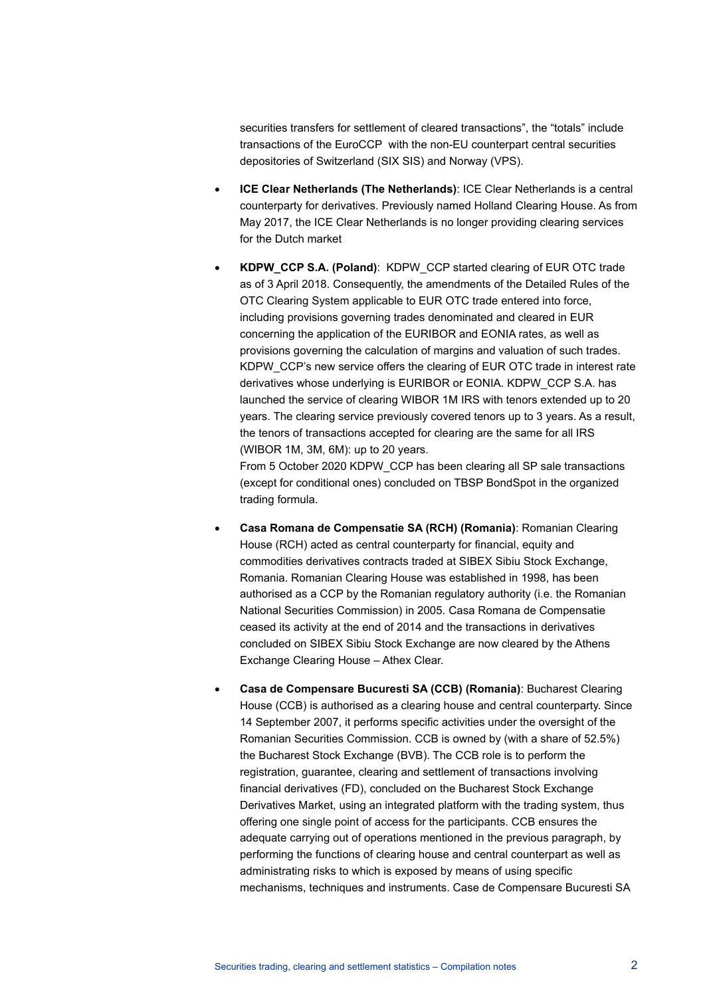securities transfers for settlement of cleared transactions", the "totals" include transactions of the EuroCCP with the non-EU counterpart central securities depositories of Switzerland (SIX SIS) and Norway (VPS).

- **ICE Clear Netherlands (The Netherlands)**: ICE Clear Netherlands is a central counterparty for derivatives. Previously named Holland Clearing House. As from May 2017, the ICE Clear Netherlands is no longer providing clearing services for the Dutch market
- **KDPW\_CCP S.A. (Poland)**: KDPW\_CCP started clearing of EUR OTC trade as of 3 April 2018. Consequently, the amendments of the Detailed Rules of the OTC Clearing System applicable to EUR OTC trade entered into force, including provisions governing trades denominated and cleared in EUR concerning the application of the EURIBOR and EONIA rates, as well as provisions governing the calculation of margins and valuation of such trades. KDPW\_CCP's new service offers the clearing of EUR OTC trade in interest rate derivatives whose underlying is EURIBOR or EONIA. KDPW\_CCP S.A. has launched the service of clearing WIBOR 1M IRS with tenors extended up to 20 years. The clearing service previously covered tenors up to 3 years. As a result, the tenors of transactions accepted for clearing are the same for all IRS (WIBOR 1M, 3M, 6M): up to 20 years.

From 5 October 2020 KDPW\_CCP has been clearing all SP sale transactions (except for conditional ones) concluded on TBSP BondSpot in the organized trading formula.

- **Casa Romana de Compensatie SA (RCH) (Romania)**: Romanian Clearing House (RCH) acted as central counterparty for financial, equity and commodities derivatives contracts traded at SIBEX Sibiu Stock Exchange, Romania. Romanian Clearing House was established in 1998, has been authorised as a CCP by the Romanian regulatory authority (i.e. the Romanian National Securities Commission) in 2005. Casa Romana de Compensatie ceased its activity at the end of 2014 and the transactions in derivatives concluded on SIBEX Sibiu Stock Exchange are now cleared by the Athens Exchange Clearing House – Athex Clear.
- **Casa de Compensare Bucuresti SA (CCB) (Romania)**: Bucharest Clearing House (CCB) is authorised as a clearing house and central counterparty. Since 14 September 2007, it performs specific activities under the oversight of the Romanian Securities Commission. CCB is owned by (with a share of 52.5%) the Bucharest Stock Exchange (BVB). The CCB role is to perform the registration, guarantee, clearing and settlement of transactions involving financial derivatives (FD), concluded on the Bucharest Stock Exchange Derivatives Market, using an integrated platform with the trading system, thus offering one single point of access for the participants. CCB ensures the adequate carrying out of operations mentioned in the previous paragraph, by performing the functions of clearing house and central counterpart as well as administrating risks to which is exposed by means of using specific mechanisms, techniques and instruments. Case de Compensare Bucuresti SA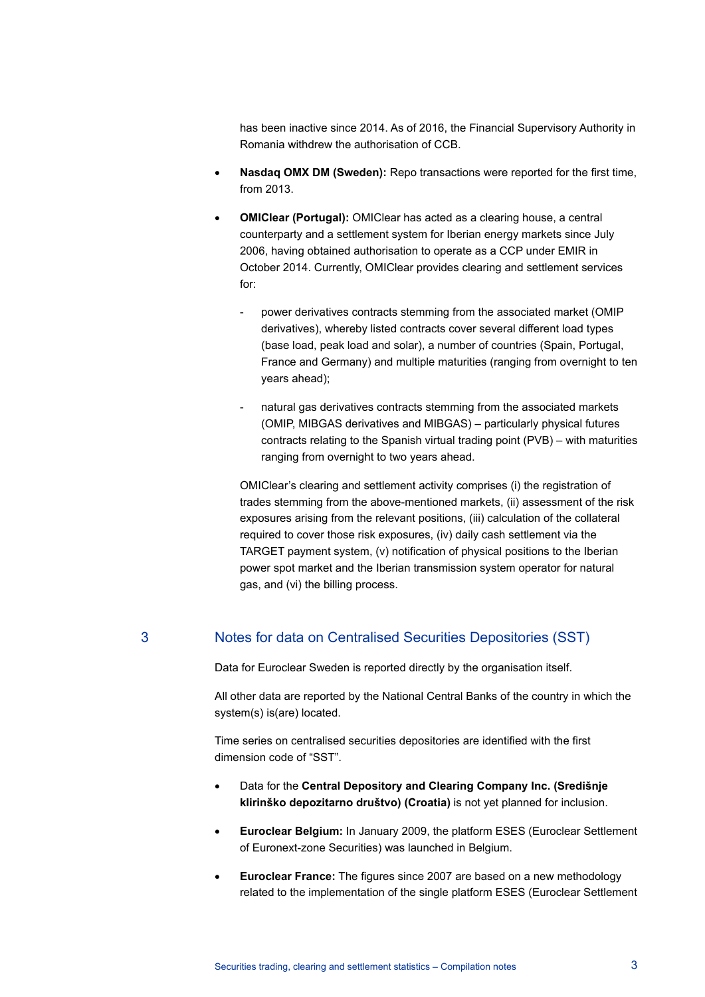has been inactive since 2014. As of 2016, the Financial Supervisory Authority in Romania withdrew the authorisation of CCB.

- **Nasdaq OMX DM (Sweden):** Repo transactions were reported for the first time, from 2013.
- **OMIClear (Portugal):** OMIClear has acted as a clearing house, a central counterparty and a settlement system for Iberian energy markets since July 2006, having obtained authorisation to operate as a CCP under EMIR in October 2014. Currently, OMIClear provides clearing and settlement services for:
	- power derivatives contracts stemming from the associated market (OMIP derivatives), whereby listed contracts cover several different load types (base load, peak load and solar), a number of countries (Spain, Portugal, France and Germany) and multiple maturities (ranging from overnight to ten years ahead);
	- natural gas derivatives contracts stemming from the associated markets (OMIP, MIBGAS derivatives and MIBGAS) – particularly physical futures contracts relating to the Spanish virtual trading point (PVB) – with maturities ranging from overnight to two years ahead.

OMIClear's clearing and settlement activity comprises (i) the registration of trades stemming from the above-mentioned markets, (ii) assessment of the risk exposures arising from the relevant positions, (iii) calculation of the collateral required to cover those risk exposures, (iv) daily cash settlement via the TARGET payment system, (v) notification of physical positions to the Iberian power spot market and the Iberian transmission system operator for natural gas, and (vi) the billing process.

#### 3 Notes for data on Centralised Securities Depositories (SST)

Data for Euroclear Sweden is reported directly by the organisation itself.

All other data are reported by the National Central Banks of the country in which the system(s) is(are) located.

Time series on centralised securities depositories are identified with the first dimension code of "SST".

- Data for the **Central Depository and Clearing Company Inc. (Središnje klirinško depozitarno društvo) (Croatia)** is not yet planned for inclusion.
- **Euroclear Belgium:** In January 2009, the platform ESES (Euroclear Settlement of Euronext-zone Securities) was launched in Belgium.
- **Euroclear France:** The figures since 2007 are based on a new methodology related to the implementation of the single platform ESES (Euroclear Settlement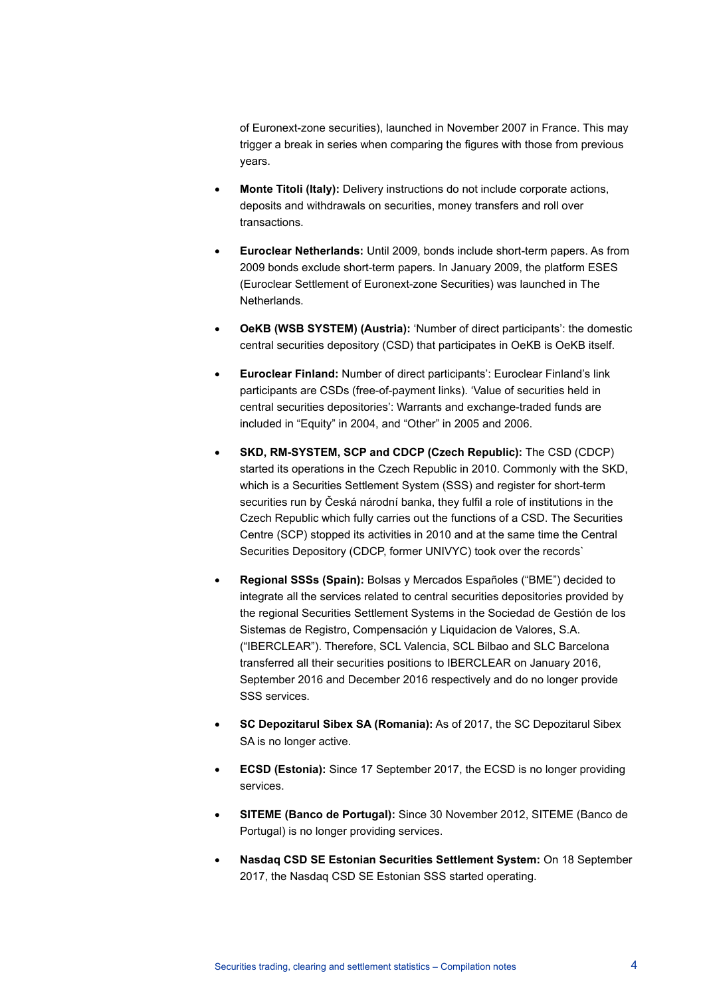of Euronext-zone securities), launched in November 2007 in France. This may trigger a break in series when comparing the figures with those from previous years.

- **Monte Titoli (Italy):** Delivery instructions do not include corporate actions, deposits and withdrawals on securities, money transfers and roll over transactions.
- **Euroclear Netherlands:** Until 2009, bonds include short-term papers. As from 2009 bonds exclude short-term papers. In January 2009, the platform ESES (Euroclear Settlement of Euronext-zone Securities) was launched in The Netherlands.
- **OeKB (WSB SYSTEM) (Austria):** 'Number of direct participants': the domestic central securities depository (CSD) that participates in OeKB is OeKB itself.
- **Euroclear Finland:** Number of direct participants': Euroclear Finland's link participants are CSDs (free-of-payment links). 'Value of securities held in central securities depositories': Warrants and exchange-traded funds are included in "Equity" in 2004, and "Other" in 2005 and 2006.
- **SKD, RM-SYSTEM, SCP and CDCP (Czech Republic):** The CSD (CDCP) started its operations in the Czech Republic in 2010. Commonly with the SKD, which is a Securities Settlement System (SSS) and register for short-term securities run by Česká národní banka, they fulfil a role of institutions in the Czech Republic which fully carries out the functions of a CSD. The Securities Centre (SCP) stopped its activities in 2010 and at the same time the Central Securities Depository (CDCP, former UNIVYC) took over the records`
- **Regional SSSs (Spain):** Bolsas y Mercados Españoles ("BME") decided to integrate all the services related to central securities depositories provided by the regional Securities Settlement Systems in the Sociedad de Gestión de los Sistemas de Registro, Compensación y Liquidacion de Valores, S.A. ("IBERCLEAR"). Therefore, SCL Valencia, SCL Bilbao and SLC Barcelona transferred all their securities positions to IBERCLEAR on January 2016, September 2016 and December 2016 respectively and do no longer provide SSS services.
- **SC Depozitarul Sibex SA (Romania):** As of 2017, the SC Depozitarul Sibex SA is no longer active.
- **ECSD (Estonia):** Since 17 September 2017, the ECSD is no longer providing services.
- **SITEME (Banco de Portugal):** Since 30 November 2012, SITEME (Banco de Portugal) is no longer providing services.
- **Nasdaq CSD SE Estonian Securities Settlement System:** On 18 September 2017, the Nasdaq CSD SE Estonian SSS started operating.